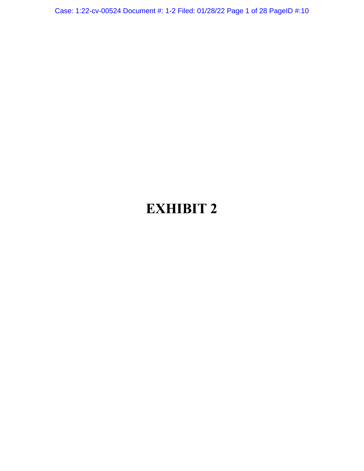Case: 1:22-cv-00524 Document #: 1-2 Filed: 01/28/22 Page 1 of 28 PageID #:10

# **EXHIBIT 2**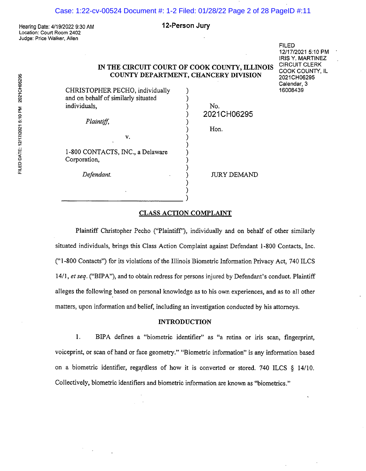# Case: 1:22-cv-00524 Document #: 1-2 Filed: 01/28/22 Page 2 of 28 PageID #:11

Hearing Date: 4/19/2022 9:30 AM Location: Court Room 2402 Judge: Price Walker, Allen

#### 12-Person Jury

IN THE CIRCUIT COURT OF COOK COUNTY, ILLINOIS COUNTY DEPARTMENT, CHANCERY DIVISION

> ) ) )

 $\sum_{i=1}^{n}$  $\int$  $\int$  $\int$ 

FILED 12/17/2021 5:10 PM <sup>I</sup> RIS Y. MARTINEZ CIRCUIT CLERK COOK COUNTY, IL 2021CH06295 Calendar, 3 16008439

CHRISTOPHER PECHO, individually and on behalf of similarly situated individuals,

V.

Plaintiff,

1-800 CONTACTS, INC., a Delaware Corporation,

) 2021CH06295 No.

Hon.

JURY DEMAND

Defendant.

# CLASS ACTION COMPLAINT

Plaintiff Christopher Pecho ("Plaintiff'), individually and on behalf of other similarly situated individuals, brings this Class Action Complaint against Defendant 1-800 Contacts, Inc. ("1-800 Contacts") for its violations of the Illinois I3iometric Information Privacy Act, 740 ILCS 14/1, et seq. ("BIPA"), and to obtain redress for persons injured by Defendant's conduct. Plaintiff alleges the following based on personal knowledge as to his own experiences, and as to all other matters, upon information and belief, including an investigation conducted by his attorneys.

#### INTRODUCTION

1. BIPA defines a "biometric identifier" as "a retina or iris scan, fingerprint, voiceprint, or scan of hand or face geometry." "Biometric information" is any information based on a biometric identifier, regardless of how it is converted or stored. 740 ILCS § 14/10. Collectively, biometric identifiers and biometric information are known as "biometrics."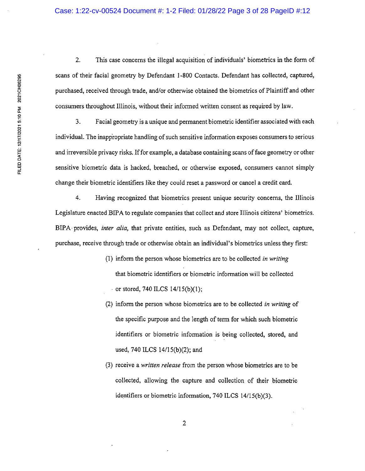2. This case concerns the illegal acquisition of individuals' biometrics in the form of scans of their facial geometry by Defendant 1-800 Contacts. Defendant has collected, captured, purchased, received through trade, and/or otherwise obtained the biometrics of Plaintiff and other consumers throughout Illinois, without their informed written consent as required by law.

3. Facial geometry is a unique and permanent biometric identifier associated with each individual. The inappropriate handling of such sensitive information exposes consumers to serious and irreversible privacy risks. If for example, a database containing scans of face geometry or other sensitive biometric data is hacked, breached, or otherwise exposed, consumers cannot simply change their biometric identifiers like they could reset a password or cancel a credit card.

4. Having recognized that biometrics present unique security concerns, the Illinois Legislature enacted BIPA to regulate companies that collect and store Illinois citizens' biometrics. BIPA• provides, inter alia, that private entities, such as Defendant, may not collect, capture, purchase, receive through trade or otherwise obtain an individual's biometrics unless they first:

- (1) inform the person whose biometrics are to be collected in writing that biometric identifiers or biometric information will be collected  $-$  or stored, 740 ILCS 14/15(b)(1);
- (2) inform the person whose biometrics are to be collected in writing of the specific purpose and the length of term for which such biometric identifiers or biometric information is being collected, stored, and used, 740 ILCS 14/15(b)(2); and
- (3) receive a written release from the person whose biometrics are to be collected, allowing the capture and collection of their biometric identifiers or biometric information, 740 ILCS 14/15(b)(3).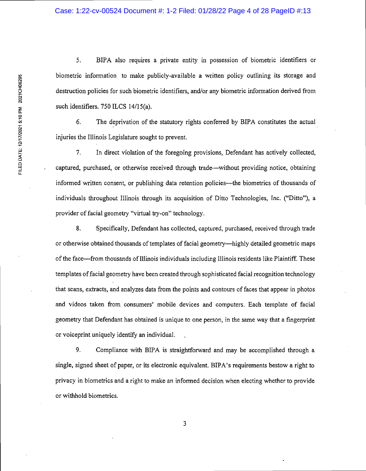5. BIPA also requires a private entity in possession of biometric identifiers or biometric information to make publicly-available a written policy outlining its storage and destruction policies for such biometric identifiers, and/or any biometric information derived from such identifiers. 750 ILCS 14/15(a).

6. The deprivation of the statutory rights conferred by BIPA constitutes the actual injuries the Illinois Legislature sought to prevent.

7. In direct violation of the foregoing provisions, Defendant has actively collected, captured, purchased, or otherwise received through trade—without providing notice, obtaining informed written consent, or publishing data retention policies—the biometrics of thousands of individuals throughout Illinois through its acquisition of Ditto Technologies, Inc. ("Ditto"), a provider of facial geometry "virtual try-on" technology.

8. Specifically, Defendant has collected, captured, purchased, received through trade or otherwise obtained thousands of templates of facial geometry—highly detailed geometric maps of the face—from thousands of Illinois individuals including Illinois residents like Plaintiff. These templates of facial geometry have been created through sophisticated facial recognition technology that scans, extracts, and analyzes data from the points and contours of faces that appear in photos and videos taken from consumers' mobile devices and computers. Each template of facial geometry that Defendant has obtained is unique to one person, in the same way that a fingerprint or voiceprint uniquely identify an individual.

9. Compliance with BIPA is straightforward and may be accomplished through a single, signed sheet of paper, or its electronic equivalent. BIPA's requirements bestow a right to privacy in biometrics and a right to make an informed decision when electing whether to provide or withhold biometrics.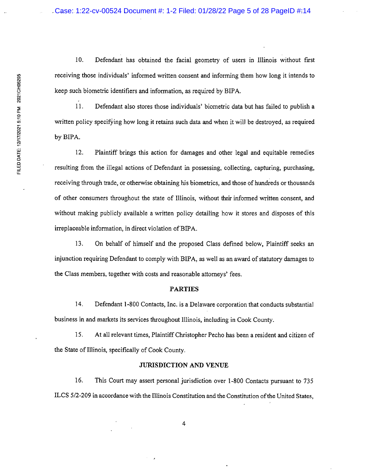10. Defendant has obtained the facial geometry of users in Illinois without first receiving those individuals' informed written consent and informing them how long it intends to keep such biometric identifiers and information, as required by BIPA.

1 1. Defendant also stores those individuals' biometric data but has failed to publish a written policy specifying how long it retains such data and when it will be destroyed, as required by BIPA.

12. Plaintiff brings this action for damages and other legal and equitable remedies resulting from the illegal actions of Defendant in possessing, collecting, capturing, purchasing, receiving through trade, or otherwise obtaining his biometrics, and those of hundreds or thousands of other consumers throughout the state of Illinois, without their informed written consent, and without making publicly available a written policy detailing how it stores and disposes of this irreplaceable information, in direct violation of BIPA.

13. On behalf of himself and the proposed Class defined below, Plaintiff seeks an injunction requiring Defendant to comply with BIPA, as well as an award of statutory damages to the Class members, together with costs and reasonable attorneys' fees.

### PARTIES

14. Defendant 1-800 Contacts, Inc. is a Delaware corporation that conducts substantial business in and markets its services throughout Illinois, including in Cook County.

15. At all relevant times, Plaintiff Christopher Pecho has been a resident and citizen of the State of Illinois, specifically of Cook County.

# JURISDICTION AND VENUE

16. This Court may assert personal jurisdiction over 1-800 Contacts pursuant to 735 ILCS 5/2-209 in accordance with the Illinois Constitution and the Constitution of the United States,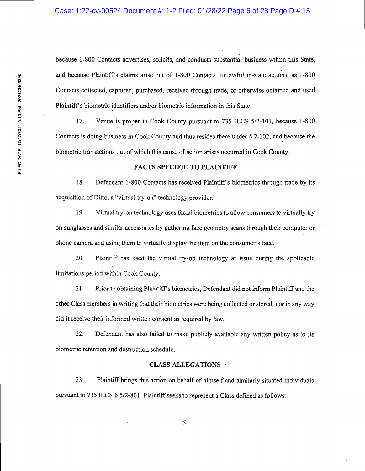because 1-800 Contacts advertises, solicits, and conducts substantial business within this State, and because Plaintiffs claims arise out of 1-800 Contacts' unlawful in-state actions, as 1-800 Contacts collected, captured, purchased, received through trade, or otherwise obtained and used Plaintiffs biometric identifiers and/or biometric information in this State.

17. Venue is proper in Cook County pursuant to 735 ILCS 5/2-101, because 1-800 Contacts is doing business in Cook County and thus resides there under  $\S 2$ -102, and because the biometric transactions out of which this cause of action arises occurred in Cook County.

# FACTS SPECIFIC TO PLAINTIFF

18. Defendant 1-800 Contacts has received Plaintiff's biometrics through trade by its acquisition of Ditto, a "virtual try-on" technology provider.

19. Virtual try-on technology uses facial biometrics to allow consumers to virtually try on sunglasses and similar accessories by gathering face geometry scans through their computer or phone camera and using them to virtually display the item on the consumer's face.

20. Plaintiff has used the virtual try-on technology at issue during the applicable limitations period within Cook County.

21. Prior to obtaining Plaintiff's biometrics, Defendant did not inform Plaintiff and the other Class members in writing that their biometrics were being collected or stored, nor in any way did it receive their informed written consent as required by law.

22. Defendant has also failed to make publicly available any written policy as to its biometric retention and destruction schedule.

### CLASS ALLEGATIONS

23. Plaintiff brings this action on behalf of himself and similarly situated individuals pursuant to 735 ILCS § 5/2-801. Plaintiff seeks to represent a Class defined as follows: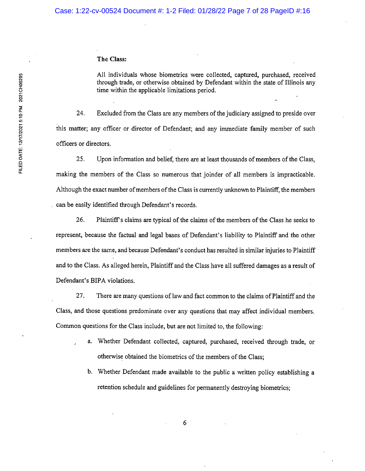# The Class:

All individuals whose biometrics were collected, captured, purchased, received through trade, or otherwise obtained by Defendant within the state of Illinois any time within the applicable limitations period.

24. Excluded from the Class are any members of the judiciary assigned to preside over this matter; any officer or director of Defendant; and any immediate family member of such officers or directors.

25. Upon information and belief, there are at least thousands of members of the Class, making the members of the Class so numerous that joinder of all members is impracticable. Although the exact number of members of the Class is currently unknown to Plaintiff, the members can be easily identified through Defendant's records.

26. Plaintiff's claims are typical of the claims of the members of the Class he seeks to represent, because the factual and legal bases of Defendant's liability to Plaintiff and the other members are the same, and because Defendant's conduct has resulted in similar injuries to Plaintiff and to the Class. As alleged herein, Plaintiff and the Class have all suffered damages as a result of Defendant's BIPA violations.

27. There are many questions of law and fact common to the claims of Plaintiff and the Class, and those questions predominate over any questions that may affect individual members. Common questions for the Class include, but are not limited to, the following:

- a. Whether Defendant collected, captured, purchased, received through trade, or otherwise obtained the biometrics of the members of the Class;
- b. Whether Defendant made available to the public a written policy establishing a retention schedule and guidelines for permanently destroying biometrics;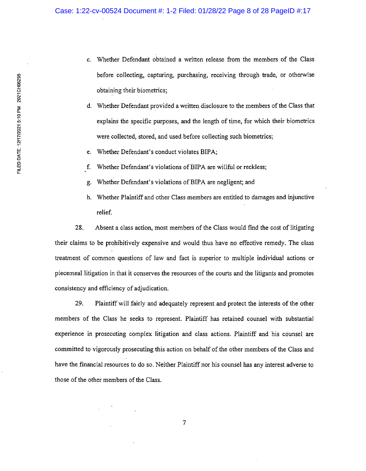- c. Whether Defendant obtained a written release from the members of the Class before collecting, capturing, purchasing, receiving through trade, or otherwise obtaining their biometrics;
- d. Whether Defendant provided a written disclosure to the members of the Class that explains the specific purposes, and the length of time, for which their biometrics were collected, stored, and used before collecting such biometrics;
- e. Whether Defendant's conduct violates BIPA;
- f. Whether Defendant's violations of BIPA are willful or reckless;
- g. Whether Defendant's violations of BIPA are negligent; and
- h. Whether Plaintiff and other Class members are entitled to damages and injunctive relief.

28. Absent a class action, most members of the Class would find the cost of litigating their claims to be prohibitively expensive and would thus have no effective remedy. The class treatment of common questions of law and fact is superior to multiple individual actions or piecemeal litigation in that it conserves the resources of the courts and the litigants and promotes consistency and efficiency of adjudication.

29. Plaintiff will fairly and adequately represent and protect the interests of the other members of the Class he seeks to represent. Plaintiff has retained counsel with substantial experience in prosecuting complex litigation and class actions. Plaintiff and his counsel are committed to vigorously prosecuting this action on behalf of the other members of the Class and have the financial resources to do so. Neither Plaintiff nor his counsel has any interest adverse to those of the other members of the Class.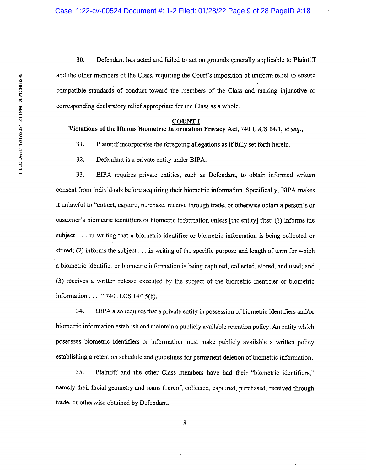30. Defendant has acted and failed to act on grounds generally applicable to Plaintiff and the other members of the Class, requiring the Court's imposition of uniform relief to ensure compatible standards of conduct toward the members of the Class and making injunctive or corresponding declaratory relief appropriate for the Class as a whole.

#### COUNT I

# Violations of the Illinois Biometric Information Privacy Act, 740 1LCS 14/1, et seq.,

31. Plaintiff incorporates the foregoing allegations as if fully set forth herein.

32. Defendant is a private entity under BIPA.

33. BIPA requires private entities, such as Defendant, to obtain informed written consent from individuals before acquiring their biometric information. Specifically, BIPA makes it unlawful to "collect, capture, purchase, receive through trade, or otherwise obtain a person's or customer's biometric identifiers or biometric information unless [the entity] first: (1) informs the subject . . . in writing that a biometric identifier or biometric information is being collected or stored; (2) informs the subject . . . in writing of the specific purpose and length of term for which a biometric identifier or biometric information is being captured, collected, stored, and used; and (3) receives a written release executed by the subject of the biometric identifier or biometric information . . . ." 740 ILCS 14/15(b).

34. BIPA also requires that a private entity in possession of biometric identifiers and/or biometric information establish and maintain a publicly available retention policy. An entity which possesses biometric identifiers or information must make publicly available a written policy establishing a retention schedule and guidelines for permanent deletion of biometric information.

35. Plaintiff and the other Class members have had their "biometric identifiers," namely their facial geometry and scans thereof, collected, captured, purchased, received through trade, or otherwise obtained by Defendant.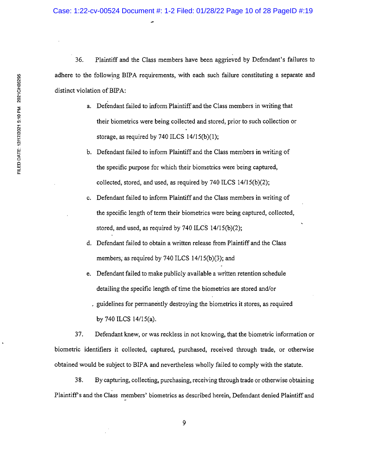36. Plaintiff and the Class members have been aggrieved by Defendant's failures to adhere to the following BIPA requirements, with each such failure constituting a separate and distinct violation of BIPA:

- a. Defendant failed to inform Plaintiff and the Class members in writing that their biometrics were being collected and stored, prior to such collection or storage, as required by 740 ILCS 14/15(b)(1);
- b. Defendant failed to inform Plaintiff and the Class members in writing of the specific purpose for which their biometrics were being captured, collected, stored, and used, as required by 740 ILCS 14/15(b)(2);
- c. Defendant failed to inform Plaintiff and the Class members in writing of the specific length of term their biometrics were being captured, collected, stored, and used, as required by 740 ILCS 14/15(b)(2);
- d. Defendant failed to obtain a written release from Plaintiff and the Class members, as required by 740 ILCS 14/15(b)(3); and
- e. Defendant failed to make publicly available a written retention schedule detailing the specific length of time the biometrics are stored and/or guidelines for permanently destroying the biometrics it stores, as required by 740 ILCS 14/15(a).

37. Defendant knew, or was reckless in not knowing, that the biometric information or biometric identifiers it collected, captured, purchased, received through trade, or otherwise obtained would be subject to BIPA and nevertheless wholly failed to comply with the statute.

38. By capturing, collecting, purchasing, receiving through trade or otherwise obtaining Plaintiffs and the Class members' biometrics as described herein, Defendant denied Plaintiff and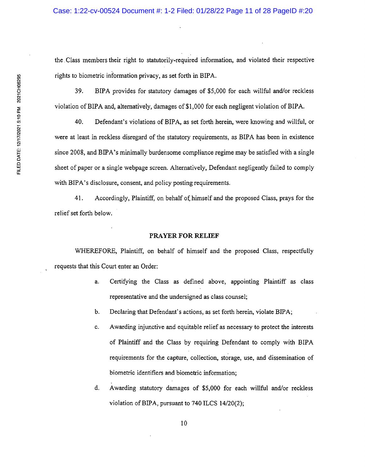the Class members their right to statutorily-required information, and violated their respective rights to biometric information privacy, as set forth in BIPA.

39. BIPA provides for statutory damages of \$5,000 for each willful and/or reckless violation of BIPA and, alternatively, damages of \$1,000 for each negligent violation of BIPA.

40. Defendant's violations of BIPA, as set forth herein, were knowing and willful, or were at least in reckless disregard of the statutory requirements, as BIPA has been in existence since 2008, and BIPA's minimally burdensome compliance regime may be satisfied with a single sheet of paper or a single webpage screen. Alternatively, Defendant negligently failed to comply with BIPA's disclosure, consent, and policy posting requirements.

41. Accordingly, Plaintiff, on behalf of, himself and the proposed Class, prays for the relief set forth below.

# PRAYER FOR RELIEF

WHEREFORE, Plaintiff, on behalf of himself and the proposed Class, respectfully requests that this Court enter an Order:

- a. Certifying the Class as defined above, appointing Plaintiff as class representative and the undersigned as class counsel;
- b. Declaring that Defendant's actions, as set forth herein, violate BIPA;
- c. Awarding injunctive and equitable relief as necessary to protect the interests of Plaintiff and the Class by requiring Defendant to comply with BIPA requirements for the capture, collection, storage, use, and dissemination of biometric identifiers and biometric information;
- d. Awarding statutory damages of \$5,000 for each willful and/or reckless violation of BIPA, pursuant to 740 ILCS 14/20(2);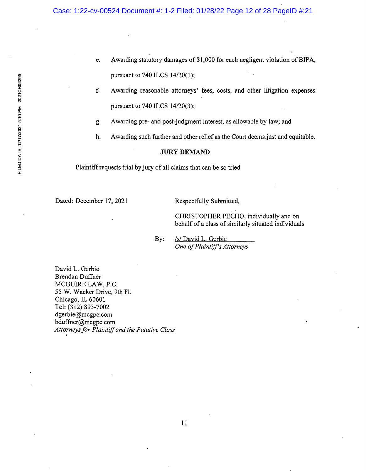- e. Awarding statutory damages of \$1,000 for each negligent violation of BIPA, pursuant to 740 ILCS 14/20(1);
- f. Awarding reasonable attorneys' fees, costs, and other litigation expenses pursuant to 740 ILCS 14/20(3);
- g. Awarding pre- and post-judgment interest, as allowable by law; and
- h. Awarding such further and other relief as the Court deems just and equitable.

# JURY DEMAND

Plaintiff requests trial by jury of all claims that can be so tried.

Dated: December 17, 2021 Respectfully Submitted,

CHRISTOPHER PECHO, individually and on behalf of a class of similarly situated individuals

By: /s/ David L. Gerbie One of Plaintiff's Attorneys

David L. Gerbie Brendan Duffner MCGUIRE LAW, P.C. 55 W. Wacker Drive, 9th Fl. Chicago, IL 60601 Tel: (312) 893-7002 dgerbie@mcgpc.com bduffner@mcgpc.com Attorneys for Plaintiff and the Putative Class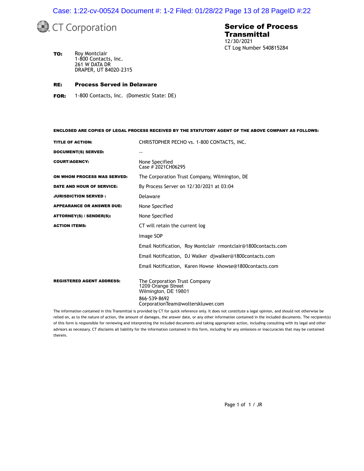Case: 1:22-cv-00524 Document #: 1-2 Filed: 01/28/22 Page 13 of 28 PageID #:22



# Service of Process **Transmittal** 12/30/2021 CT Log Number 540815284

TO: Roy Montclair 1-800 Contacts, Inc. 261 W DATA DR DRAPER, UT 84020-2315

#### RE: Process Served in Delaware

FOR: 1-800 Contacts, Inc. (Domestic State: DE)

ENCLOSED ARE COPIES OF LEGAL PROCESS RECEIVED BY THE STATUTORY AGENT OF THE ABOVE COMPANY AS FOLLOWS:

| <b>TITLE OF ACTION:</b>          | CHRISTOPHER PECHO vs. 1-800 CONTACTS, INC.                                  |  |  |
|----------------------------------|-----------------------------------------------------------------------------|--|--|
| DOCUMENT(S) SERVED:              |                                                                             |  |  |
| <b>COURT/AGENCY:</b>             | None Specified<br>Case # 2021CH06295                                        |  |  |
| ON WHOM PROCESS WAS SERVED:      | The Corporation Trust Company, Wilmington, DE                               |  |  |
| DATE AND HOUR OF SERVICE:        | By Process Server on 12/30/2021 at 03:04                                    |  |  |
| <b>JURISDICTION SERVED :</b>     | Delaware                                                                    |  |  |
| <b>APPEARANCE OR ANSWER DUE:</b> | None Specified                                                              |  |  |
| ATTORNEY(S) / SENDER(S):         | None Specified                                                              |  |  |
| <b>ACTION ITEMS:</b>             | CT will retain the current log                                              |  |  |
|                                  | Image SOP                                                                   |  |  |
|                                  | Email Notification, Roy Montclair rmontclair@1800contacts.com               |  |  |
|                                  | Email Notification, DJ Walker djwalker@1800contacts.com                     |  |  |
|                                  | Email Notification, Karen Howse khowse@1800contacts.com                     |  |  |
| <b>REGISTERED AGENT ADDRESS:</b> | The Corporation Trust Company<br>1209 Orange Street<br>Wilmington, DE 19801 |  |  |
|                                  | 866-539-8692<br>CorporationTeam@wolterskluwer.com                           |  |  |

The information contained in this Transmittal is provided by CT for quick reference only. It does not constitute a legal opinion, and should not otherwise be relied on, as to the nature of action, the amount of damages, the answer date, or any other information contained in the included documents. The recipient(s) of this form is responsible for reviewing and interpreting the included documents and taking appropriate action, including consulting with its legal and other advisors as necessary. CT disclaims all liability for the information contained in this form, including for any omissions or inaccuracies that may be contained therein.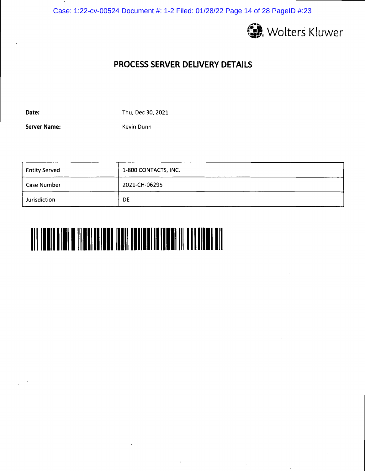Case: 1:22-cv-00524 Document #: 1-2 Filed: 01/28/22 Page 14 of 28 PageID #:23



# PROCESS SERVER DELIVERY DETAILS

Date:

Thu, Dec 30, 2021

Server Name:

Kevin Dunn

| <b>Entity Served</b> | 1-800 CONTACTS, INC. |  |
|----------------------|----------------------|--|
| Case Number          | 2021-CH-06295        |  |
| Jurisdiction         | DE                   |  |

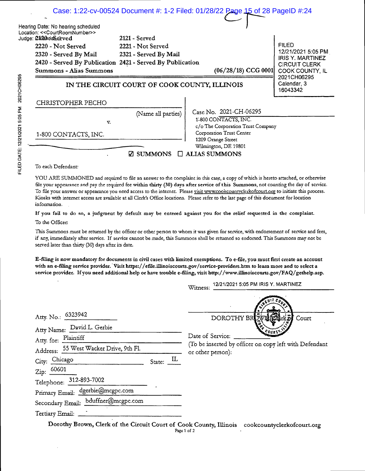|                   |                                                                                                                                                                                                                                             |                                                             | Case: 1:22-cv-00524 Document #: 1-2 Filed: 01/28/22 Page 15 of 28 PageID #:24                  |                                                                                                          |
|-------------------|---------------------------------------------------------------------------------------------------------------------------------------------------------------------------------------------------------------------------------------------|-------------------------------------------------------------|------------------------------------------------------------------------------------------------|----------------------------------------------------------------------------------------------------------|
| 2021 CH06295<br>Ī | Hearing Date: No hearing scheduled<br>Location: << CourtRoomNumber>><br>Judge: <b>2120</b> hdaSe3rved<br>2220 - Not Served<br>2320 - Served By Mail<br>2420 - Served By Publication 2421 - Served By Publication<br>Summons - Alias Summons | 2121 - Served<br>2221 - Not Served<br>2321 - Served By Mail | $(06/28/18)$ CCG 0001                                                                          | <b>FILED</b><br>12/21/2021 5:05 PM<br><b>IRIS Y. MARTINEZ</b><br><b>CIRCUIT CLERK</b><br>COOK COUNTY, IL |
|                   | IN THE CIRCUIT COURT OF COOK COUNTY, ILLINOIS                                                                                                                                                                                               |                                                             |                                                                                                | 2021CH06295<br>Calendar, 3<br>16043342                                                                   |
|                   | CHRISTOPHER PECHO                                                                                                                                                                                                                           |                                                             |                                                                                                |                                                                                                          |
|                   | v.                                                                                                                                                                                                                                          | (Name all parties)                                          | Case No. 2021-CH-06295<br>1-800 CONTACTS, INC.<br>c/o The Corporation Trust Company            |                                                                                                          |
|                   | 1-800 CONTACTS, INC.                                                                                                                                                                                                                        | ⊠ SUMMONS                                                   | Corporation Trust Center<br>1209 Orange Street<br>Wilmington, DE 19801<br>$\Box$ ALIAS SUMMONS |                                                                                                          |

To each Defendant

YOU ARE SUMMONED and required to file an answer to the complaint in this case, a copy of which is hereto attached, or otherwise file your appearance and pay the required fee within thirty (30) days after service of this Summons, not counting the day of service. To file your answer or appearance you need access to the internet. Please visit www.cookcountvclerkofcourt.org to initiate this process. Kiosks with internec access are available at all Clerk's Office locations. Please refer to the last page of this document for location information.

If you fail to do so, a judgment by default may be entered against you for the relief requested in the complaint.

To the Officer:

This Summons must be returned by the officer or other person to whom it was given for service, with endorsement of service and fees, if any, immediately after service. If service cannot be made, this Summons shall be returned so endorsed. This Summons may not be served later than thirty (30) days after its date.

E-filing is now mandatory for documents in civil cases with limited exemptions. To e-file, you must first create an account with an e-fling service provider.. Visit https://efile.illinoiscourts.gov/service-providers.htm to learn more and to select a service provider. If you need additional help or have trouble e-filing, visit http://www.illinoiscourts.gov/FAQ/gethelp.asp.

Witness: 12/21/2021 5:05 PM IRIS Y. MARTINEZ

 $\overline{C}$ 

| Atty. No.: 6323942<br>Atty Name: David L. Gerbie |           | ះវ<br>DOROTHY BROWLES<br>Court                                             |
|--------------------------------------------------|-----------|----------------------------------------------------------------------------|
| Atty. for: Plaintiff                             |           | Date of Service:<br>(To be inserted by officer on copy left with Defendant |
| Address: 55 West Wacker Drive, 9th Fl.           |           | or other person):                                                          |
| City: Chicago                                    | State: IL |                                                                            |
| Zip: $\frac{60601}{2}$                           |           |                                                                            |
| Telephone: 312-893-7002                          |           |                                                                            |
| Primary Email: dgerbie@mcgpc.com                 |           |                                                                            |
| Secondary Email: bduffner@mcgpc.com              |           |                                                                            |
| Tertiary Email: ______                           |           |                                                                            |
|                                                  |           |                                                                            |

Dorothy Brown, Clerk of the Circuit Court of Cook County, Illinois cookcountyclerkofcourt.org Page 1 of 2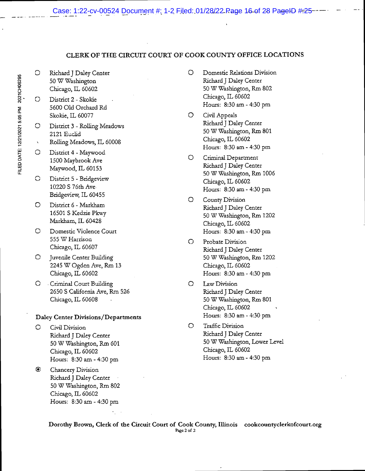# CLERK OF THE CIRCUIT COURT OF COOK COUNTY OFFICE LOCATIONS

- O Richard J Daley Center 50 W Washington Chicago, IL 60602
- o District 2 Skokie 5600 Old Orchard Rd Skokie, IL 60077
- o District 3 Rolling Meadows 2121 Euclid
- Rolling Meadows, IL 60008  $\chi$
- o District 4 Maywood 1500 Nlaybrook Ave Maywood, IL 60153
- o District 5 Bridgeview 10220 S 76th Ave Bridgeview, IL 60455
- O District 6- Markham 16501 S Kedzie Pkwy Markham, IL 60428
- O Domestic Violence Court 555 W Harrison Chicago, IL 60607
- O Juvenile Center Building 2245 W Ogden Ave, Rm 13 Chicago, IL 60602
- O Criminal Court Building 2650 S California Ave, Rm 526 Chicago, IL 60608

# Daley Center Divisions/Departments

- $\circ$ Civil Division Richard J Daley Center 50 W Washington, Rm 601 Chicago, IL 60602 Hours: 8:30 am - 4:30 pm
- $\bullet$ Chancery Division Richard J Daley Center • 50 W Washington, Rm 802 Chicago, IL 60602 Hours: 8:30 am - 4:30 pm
- O Domestic Relations Division Richard J Daley Center 50 W Washington, Rm 802 Chicago, IL 60602 Hours: 8:30 am - 4:30 pm
- O Civil Appeals Richard J Daley Center 50 W Washington, Rm 801 Chicago, IL 60602 Hours: 8:30 am - 4:30 pm
- O Criminal Department Richard J Daley Center 50 W Washington, Rm 1006 Chicago, IL 60602 Hours: 8:30 am - 4:30 pm
- O County Division Richard J Daley Center 50 W Washington, Rm 1202 Chicago, IL 60602 Hours: 8:30 am - 4:30 pm
- O Probate Division Richard J Daley Center 50W Washington, Rm 1202 Chicago, IL 60602 Hours: 8:30 am - 4:30 pm
- O Law Division Richard J Daley Center 50 W Washington, Rm 801 Chicago, IL 60602 Hours: 8:30 am - 4:30 pm
- O Traffic Division Richard J Daley Center 50 W Washington, Lower Level Chicago, IL 60602 Hours: 8:30 am - 4:30 pm

Dorothy Brown, Clerk of the Circuit Court of Cook County, Illinois cookcountyclerkofcourt.org Page 2 of 2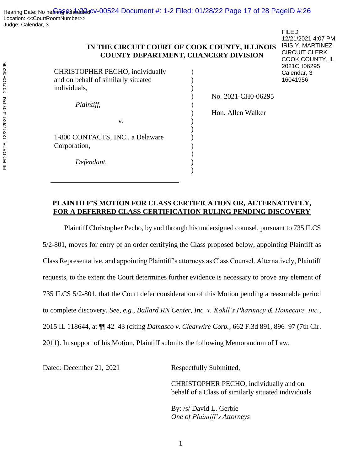# **IN THE CIRCUIT COURT OF COOK COUNTY, ILLINOIS COUNTY DEPARTMENT, CHANCERY DIVISION**

) ) )

)

)  $\overline{)}$ ) ) ) ) )

CHRISTOPHER PECHO, individually and on behalf of similarly situated individuals,

*Plaintiff*,

1-800 CONTACTS, INC., a Delaware Corporation,

v.

*Defendant.*

FILED 12/21/2021 4:07 PM IRIS Y. MARTINEZ CIRCUIT CLERK COOK COUNTY, IL 2021CH06295 Calendar, 3 16041956

) No. 2021-CH0-06295

) Hon. Allen Walker

# **PLAINTIFF'S MOTION FOR CLASS CERTIFICATION OR, ALTERNATIVELY, FOR A DEFERRED CLASS CERTIFICATION RULING PENDING DISCOVERY**

Plaintiff Christopher Pecho, by and through his undersigned counsel, pursuant to 735 ILCS 5/2-801, moves for entry of an order certifying the Class proposed below, appointing Plaintiff as Class Representative, and appointing Plaintiff's attorneys as Class Counsel. Alternatively, Plaintiff requests, to the extent the Court determines further evidence is necessary to prove any element of 735 ILCS 5/2-801, that the Court defer consideration of this Motion pending a reasonable period to complete discovery. *See, e.g.*, *Ballard RN Center, Inc. v. Kohll's Pharmacy & Homecare, Inc.*, 2015 IL 118644, at ¶¶ 42–43 (citing *Damasco v. Clearwire Corp.*, 662 F.3d 891, 896–97 (7th Cir. 2011). In support of his Motion, Plaintiff submits the following Memorandum of Law.

Dated: December 21, 2021 Respectfully Submitted,

CHRISTOPHER PECHO, individually and on behalf of a Class of similarly situated individuals

By: /s/ David L. Gerbie *One of Plaintiff's Attorneys*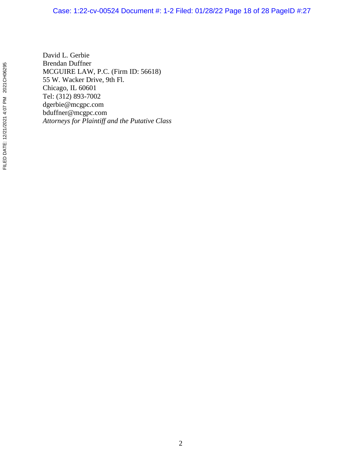# Case: 1:22-cv-00524 Document #: 1-2 Filed: 01/28/22 Page 18 of 28 PageID #:27

David L. Gerbie Brendan Duffner MCGUIRE LAW, P.C. (Firm ID: 56618) 55 W. Wacker Drive, 9th Fl. Chicago, IL 60601 Tel: (312) 893-7002 dgerbie@mcgpc.com bduffner@mcgpc.com *Attorneys for Plaintiff and the Putative Class*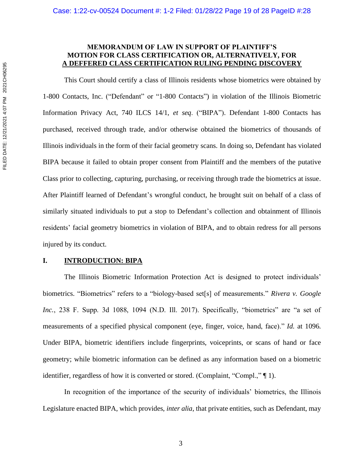# **MEMORANDUM OF LAW IN SUPPORT OF PLAINTIFF'S MOTION FOR CLASS CERTIFICATION OR, ALTERNATIVELY, FOR A DEFFERED CLASS CERTIFICATION RULING PENDING DISCOVERY**

This Court should certify a class of Illinois residents whose biometrics were obtained by 1-800 Contacts, Inc. ("Defendant" or "1-800 Contacts") in violation of the Illinois Biometric Information Privacy Act, 740 ILCS 14/1, *et seq*. ("BIPA"). Defendant 1-800 Contacts has purchased, received through trade, and/or otherwise obtained the biometrics of thousands of Illinois individuals in the form of their facial geometry scans. In doing so, Defendant has violated BIPA because it failed to obtain proper consent from Plaintiff and the members of the putative Class prior to collecting, capturing, purchasing, or receiving through trade the biometrics at issue. After Plaintiff learned of Defendant's wrongful conduct, he brought suit on behalf of a class of similarly situated individuals to put a stop to Defendant's collection and obtainment of Illinois residents' facial geometry biometrics in violation of BIPA, and to obtain redress for all persons injured by its conduct.

# **I. INTRODUCTION: BIPA**

The Illinois Biometric Information Protection Act is designed to protect individuals' biometrics. "Biometrics" refers to a "biology-based set[s] of measurements." *Rivera v. Google Inc.*, 238 F. Supp. 3d 1088, 1094 (N.D. Ill. 2017). Specifically, "biometrics" are "a set of measurements of a specified physical component (eye, finger, voice, hand, face)." *Id.* at 1096. Under BIPA, biometric identifiers include fingerprints, voiceprints, or scans of hand or face geometry; while biometric information can be defined as any information based on a biometric identifier, regardless of how it is converted or stored. (Complaint, "Compl.," ¶ 1).

In recognition of the importance of the security of individuals' biometrics, the Illinois Legislature enacted BIPA, which provides, *inter alia*, that private entities, such as Defendant, may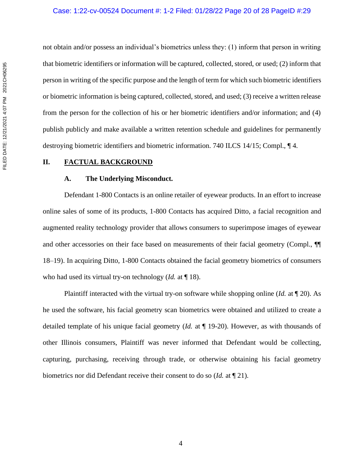not obtain and/or possess an individual's biometrics unless they: (1) inform that person in writing that biometric identifiers or information will be captured, collected, stored, or used; (2) inform that person in writing of the specific purpose and the length of term for which such biometric identifiers or biometric information is being captured, collected, stored, and used; (3) receive a written release from the person for the collection of his or her biometric identifiers and/or information; and (4) publish publicly and make available a written retention schedule and guidelines for permanently destroying biometric identifiers and biometric information. 740 ILCS 14/15; Compl., ¶ 4.

# **II. FACTUAL BACKGROUND**

# **A. The Underlying Misconduct.**

Defendant 1-800 Contacts is an online retailer of eyewear products. In an effort to increase online sales of some of its products, 1-800 Contacts has acquired Ditto, a facial recognition and augmented reality technology provider that allows consumers to superimpose images of eyewear and other accessories on their face based on measurements of their facial geometry (Compl., ¶ 18–19). In acquiring Ditto, 1-800 Contacts obtained the facial geometry biometrics of consumers who had used its virtual try-on technology (*Id.* at ¶ 18).

Plaintiff interacted with the virtual try-on software while shopping online (*Id.* at ¶ 20). As he used the software, his facial geometry scan biometrics were obtained and utilized to create a detailed template of his unique facial geometry (*Id.* at ¶ 19-20). However, as with thousands of other Illinois consumers, Plaintiff was never informed that Defendant would be collecting, capturing, purchasing, receiving through trade, or otherwise obtaining his facial geometry biometrics nor did Defendant receive their consent to do so (*Id.* at ¶ 21).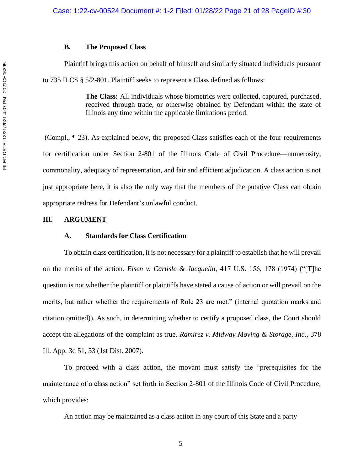# **B. The Proposed Class**

Plaintiff brings this action on behalf of himself and similarly situated individuals pursuant

to 735 ILCS § 5/2-801. Plaintiff seeks to represent a Class defined as follows:

**The Class:** All individuals whose biometrics were collected, captured, purchased, received through trade, or otherwise obtained by Defendant within the state of Illinois any time within the applicable limitations period.

(Compl., ¶ 23). As explained below, the proposed Class satisfies each of the four requirements for certification under Section 2-801 of the Illinois Code of Civil Procedure—numerosity, commonality, adequacy of representation, and fair and efficient adjudication. A class action is not just appropriate here, it is also the only way that the members of the putative Class can obtain appropriate redress for Defendant's unlawful conduct.

# **III. ARGUMENT**

# **A. Standards for Class Certification**

To obtain class certification, it is not necessary for a plaintiff to establish that he will prevail on the merits of the action. *Eisen v. Carlisle & Jacquelin*, 417 U.S. 156, 178 (1974) ("[T]he question is not whether the plaintiff or plaintiffs have stated a cause of action or will prevail on the merits, but rather whether the requirements of Rule 23 are met." (internal quotation marks and citation omitted)). As such, in determining whether to certify a proposed class, the Court should accept the allegations of the complaint as true. *Ramirez v. Midway Moving & Storage, Inc*., 378 Ill. App. 3d 51, 53 (1st Dist. 2007).

To proceed with a class action, the movant must satisfy the "prerequisites for the maintenance of a class action" set forth in Section 2-801 of the Illinois Code of Civil Procedure, which provides:

An action may be maintained as a class action in any court of this State and a party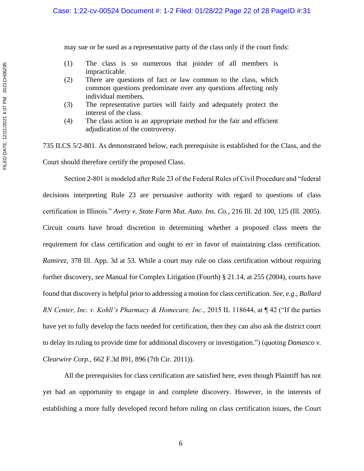may sue or be sued as a representative party of the class only if the court finds:

- (1) The class is so numerous that joinder of all members is impracticable.
- (2) There are questions of fact or law common to the class, which common questions predominate over any questions affecting only individual members.
- (3) The representative parties will fairly and adequately protect the interest of the class.
- (4) The class action is an appropriate method for the fair and efficient adjudication of the controversy.

735 ILCS 5/2-801. As demonstrated below, each prerequisite is established for the Class, and the Court should therefore certify the proposed Class.

Section 2-801 is modeled after Rule 23 of the Federal Rules of Civil Procedure and "federal decisions interpreting Rule 23 are persuasive authority with regard to questions of class certification in Illinois." *Avery v. State Farm Mut. Auto. Ins. Co.*, 216 Ill. 2d 100, 125 (Ill. 2005). Circuit courts have broad discretion in determining whether a proposed class meets the requirement for class certification and ought to err in favor of maintaining class certification. *Ramirez*, 378 Ill. App. 3d at 53. While a court may rule on class certification without requiring further discovery, *see* Manual for Complex Litigation (Fourth) § 21.14, at 255 (2004), courts have found that discovery is helpful prior to addressing a motion for class certification. *See, e.g., Ballard RN Center, Inc. v. Kohll's Pharmacy & Homecare, Inc.*, 2015 IL 118644, at ¶ 42 ("If the parties have yet to fully develop the facts needed for certification, then they can also ask the district court to delay its ruling to provide time for additional discovery or investigation.") (quoting *Damasco v. Clearwire Corp.*, 662 F.3d 891, 896 (7th Cir. 2011)).

All the prerequisites for class certification are satisfied here, even though Plaintiff has not yet had an opportunity to engage in and complete discovery. However, in the interests of establishing a more fully developed record before ruling on class certification issues, the Court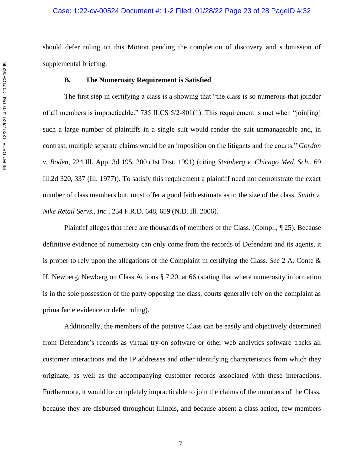should defer ruling on this Motion pending the completion of discovery and submission of supplemental briefing.

# **B. The Numerosity Requirement is Satisfied**

The first step in certifying a class is a showing that "the class is so numerous that joinder of all members is impracticable." 735 ILCS 5/2-801(1). This requirement is met when "join[ing] such a large number of plaintiffs in a single suit would render the suit unmanageable and, in contrast, multiple separate claims would be an imposition on the litigants and the courts." *Gordon v. Boden*, 224 Ill. App. 3d 195, 200 (1st Dist. 1991) (citing *Steinberg v. Chicago Med. Sch.*, 69 Ill.2d 320, 337 (Ill. 1977)). To satisfy this requirement a plaintiff need not demonstrate the exact number of class members but, must offer a good faith estimate as to the size of the class. *Smith v. Nike Retail Servs., Inc.*, 234 F.R.D. 648, 659 (N.D. Ill. 2006).

Plaintiff alleges that there are thousands of members of the Class. (Compl., ¶ 25). Because definitive evidence of numerosity can only come from the records of Defendant and its agents, it is proper to rely upon the allegations of the Complaint in certifying the Class. *See* 2 A. Conte & H. Newberg, Newberg on Class Actions § 7.20, at 66 (stating that where numerosity information is in the sole possession of the party opposing the class, courts generally rely on the complaint as prima facie evidence or defer ruling).

Additionally, the members of the putative Class can be easily and objectively determined from Defendant's records as virtual try-on software or other web analytics software tracks all customer interactions and the IP addresses and other identifying characteristics from which they originate, as well as the accompanying customer records associated with these interactions. Furthermore, it would be completely impracticable to join the claims of the members of the Class, because they are disbursed throughout Illinois, and because absent a class action, few members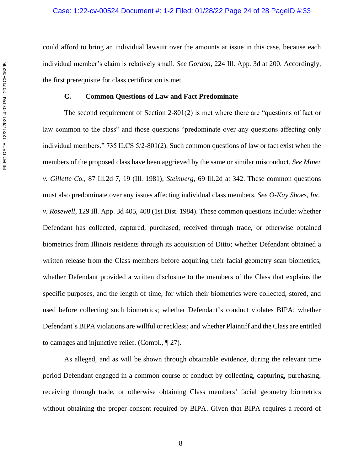could afford to bring an individual lawsuit over the amounts at issue in this case, because each individual member's claim is relatively small. *See Gordon*, 224 Ill. App. 3d at 200. Accordingly, the first prerequisite for class certification is met.

# **C. Common Questions of Law and Fact Predominate**

The second requirement of Section 2-801(2) is met where there are "questions of fact or law common to the class" and those questions "predominate over any questions affecting only individual members." 735 ILCS 5/2-801(2). Such common questions of law or fact exist when the members of the proposed class have been aggrieved by the same or similar misconduct. *See Miner v. Gillette Co.,* 87 Ill.2d 7, 19 (Ill. 1981); *Steinberg*, 69 Ill.2d at 342. These common questions must also predominate over any issues affecting individual class members. *See O-Kay Shoes, Inc. v. Rosewell*, 129 Ill. App. 3d 405, 408 (1st Dist. 1984). These common questions include: whether Defendant has collected, captured, purchased, received through trade, or otherwise obtained biometrics from Illinois residents through its acquisition of Ditto; whether Defendant obtained a written release from the Class members before acquiring their facial geometry scan biometrics; whether Defendant provided a written disclosure to the members of the Class that explains the specific purposes, and the length of time, for which their biometrics were collected, stored, and used before collecting such biometrics; whether Defendant's conduct violates BIPA; whether Defendant's BIPA violations are willful or reckless; and whether Plaintiff and the Class are entitled to damages and injunctive relief. (Compl., ¶ 27).

As alleged, and as will be shown through obtainable evidence, during the relevant time period Defendant engaged in a common course of conduct by collecting, capturing, purchasing, receiving through trade, or otherwise obtaining Class members' facial geometry biometrics without obtaining the proper consent required by BIPA. Given that BIPA requires a record of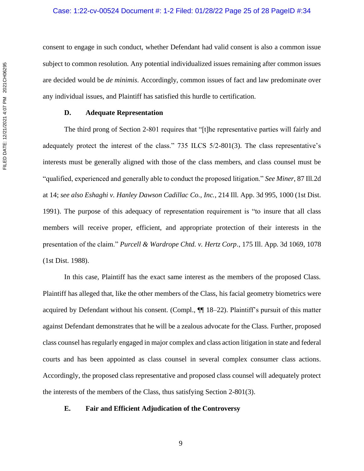consent to engage in such conduct, whether Defendant had valid consent is also a common issue subject to common resolution. Any potential individualized issues remaining after common issues are decided would be *de minimis*. Accordingly, common issues of fact and law predominate over any individual issues, and Plaintiff has satisfied this hurdle to certification.

# **D. Adequate Representation**

The third prong of Section 2-801 requires that "[t]he representative parties will fairly and adequately protect the interest of the class." 735 ILCS 5/2-801(3). The class representative's interests must be generally aligned with those of the class members, and class counsel must be "qualified, experienced and generally able to conduct the proposed litigation." *See Miner*, 87 Ill.2d at 14; *see also Eshaghi v. Hanley Dawson Cadillac Co., Inc.*, 214 Ill. App. 3d 995, 1000 (1st Dist. 1991). The purpose of this adequacy of representation requirement is "to insure that all class members will receive proper, efficient, and appropriate protection of their interests in the presentation of the claim." *Purcell & Wardrope Chtd. v. Hertz Corp*., 175 Ill. App. 3d 1069, 1078 (1st Dist. 1988).

In this case, Plaintiff has the exact same interest as the members of the proposed Class. Plaintiff has alleged that, like the other members of the Class, his facial geometry biometrics were acquired by Defendant without his consent. (Compl., ¶¶ 18–22). Plaintiff's pursuit of this matter against Defendant demonstrates that he will be a zealous advocate for the Class. Further, proposed class counsel has regularly engaged in major complex and class action litigation in state and federal courts and has been appointed as class counsel in several complex consumer class actions. Accordingly, the proposed class representative and proposed class counsel will adequately protect the interests of the members of the Class, thus satisfying Section 2-801(3).

# **E. Fair and Efficient Adjudication of the Controversy**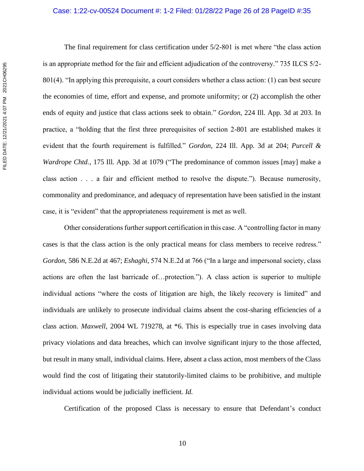The final requirement for class certification under 5/2-801 is met where "the class action is an appropriate method for the fair and efficient adjudication of the controversy." 735 ILCS 5/2- 801(4). "In applying this prerequisite, a court considers whether a class action: (1) can best secure the economies of time, effort and expense, and promote uniformity; or (2) accomplish the other ends of equity and justice that class actions seek to obtain." *Gordon*, 224 Ill. App. 3d at 203. In practice, a "holding that the first three prerequisites of section 2-801 are established makes it evident that the fourth requirement is fulfilled." *Gordon*, 224 Ill. App. 3d at 204; *Purcell & Wardrope Chtd.*, 175 Ill. App. 3d at 1079 ("The predominance of common issues [may] make a class action . . . a fair and efficient method to resolve the dispute."). Because numerosity, commonality and predominance, and adequacy of representation have been satisfied in the instant case, it is "evident" that the appropriateness requirement is met as well.

Other considerations further support certification in this case. A "controlling factor in many cases is that the class action is the only practical means for class members to receive redress." *Gordon*, 586 N.E.2d at 467; *Eshaghi*, 574 N.E.2d at 766 ("In a large and impersonal society, class actions are often the last barricade of…protection."). A class action is superior to multiple individual actions "where the costs of litigation are high, the likely recovery is limited" and individuals are unlikely to prosecute individual claims absent the cost-sharing efficiencies of a class action. *Maxwell*, 2004 WL 719278, at \*6. This is especially true in cases involving data privacy violations and data breaches, which can involve significant injury to the those affected, but result in many small, individual claims. Here, absent a class action, most members of the Class would find the cost of litigating their statutorily-limited claims to be prohibitive, and multiple individual actions would be judicially inefficient. *Id.*

Certification of the proposed Class is necessary to ensure that Defendant's conduct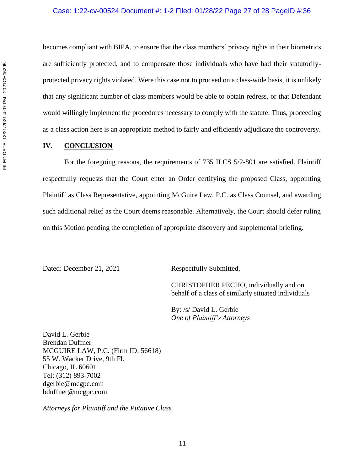becomes compliant with BIPA, to ensure that the class members' privacy rights in their biometrics are sufficiently protected, and to compensate those individuals who have had their statutorilyprotected privacy rights violated. Were this case not to proceed on a class-wide basis, it is unlikely that any significant number of class members would be able to obtain redress, or that Defendant would willingly implement the procedures necessary to comply with the statute. Thus, proceeding as a class action here is an appropriate method to fairly and efficiently adjudicate the controversy.

# **IV. CONCLUSION**

For the foregoing reasons, the requirements of 735 ILCS 5/2-801 are satisfied. Plaintiff respectfully requests that the Court enter an Order certifying the proposed Class, appointing Plaintiff as Class Representative, appointing McGuire Law, P.C. as Class Counsel, and awarding such additional relief as the Court deems reasonable. Alternatively, the Court should defer ruling on this Motion pending the completion of appropriate discovery and supplemental briefing.

Dated: December 21, 2021 Respectfully Submitted,

CHRISTOPHER PECHO, individually and on behalf of a class of similarly situated individuals

By: /s/ David L. Gerbie *One of Plaintiff's Attorneys*

David L. Gerbie Brendan Duffner MCGUIRE LAW, P.C. (Firm ID: 56618) 55 W. Wacker Drive, 9th Fl. Chicago, IL 60601 Tel: (312) 893-7002 dgerbie@mcgpc.com bduffner@mcgpc.com

*Attorneys for Plaintiff and the Putative Class*